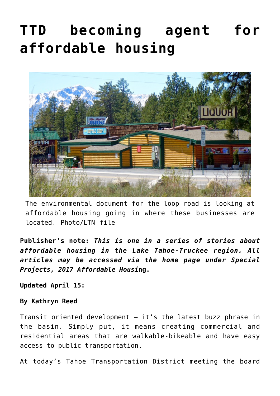## **[TTD becoming agent for](https://www.laketahoenews.net/2017/04/ttd-becoming-agent-affordable-housing/) [affordable housing](https://www.laketahoenews.net/2017/04/ttd-becoming-agent-affordable-housing/)**



The environmental document for the loop road is looking at affordable housing going in where these businesses are located. Photo/LTN file

**Publisher's note:** *This is one in a series of stories about affordable housing in the Lake Tahoe-Truckee region. All articles may be accessed via the home page under Special Projects, 2017 Affordable Housi***ng.**

**Updated April 15:**

## **By Kathryn Reed**

Transit oriented development  $-$  it's the latest buzz phrase in the basin. Simply put, it means creating commercial and residential areas that are walkable-bikeable and have easy access to public transportation.

At today's Tahoe Transportation District meeting the board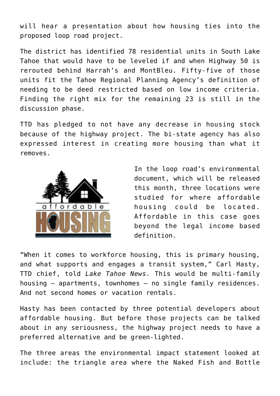will hear a presentation about how housing ties into the proposed loop road project.

The district has identified 78 residential units in South Lake Tahoe that would have to be leveled if and when Highway 50 is rerouted behind Harrah's and MontBleu. Fifty-five of those units fit the Tahoe Regional Planning Agency's definition of needing to be deed restricted based on low income criteria. Finding the right mix for the remaining 23 is still in the discussion phase.

TTD has pledged to not have any decrease in housing stock because of the highway project. The bi-state agency has also expressed interest in creating more housing than what it removes.



In the loop road's environmental document, which will be released this month, three locations were studied for where affordable housing could be located. Affordable in this case goes beyond the legal income based definition.

"When it comes to workforce housing, this is primary housing, and what supports and engages a transit system," Carl Hasty, TTD chief, told *Lake Tahoe News.* This would be multi-family housing – apartments, townhomes – no single family residences. And not second homes or vacation rentals.

Hasty has been contacted by three potential developers about affordable housing. But before those projects can be talked about in any seriousness, the highway project needs to have a preferred alternative and be green-lighted.

The three areas the environmental impact statement looked at include: the triangle area where the Naked Fish and Bottle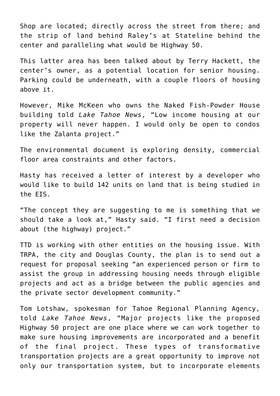Shop are located; directly across the street from there; and the strip of land behind Raley's at Stateline behind the center and paralleling what would be Highway 50.

This latter area has been talked about by Terry Hackett, the center's owner, as a potential location for senior housing. Parking could be underneath, with a couple floors of housing above it.

However, Mike McKeen who owns the Naked Fish-Powder House building told *Lake Tahoe News*, "Low income housing at our property will never happen. I would only be open to condos like the Zalanta project."

The environmental document is exploring density, commercial floor area constraints and other factors.

Hasty has received a letter of interest by a developer who would like to build 142 units on land that is being studied in the EIS.

"The concept they are suggesting to me is something that we should take a look at," Hasty said. "I first need a decision about (the highway) project."

TTD is working with other entities on the housing issue. With TRPA, the city and Douglas County, the plan is to send out a request for proposal seeking "an experienced person or firm to assist the group in addressing housing needs through eligible projects and act as a bridge between the public agencies and the private sector development community."

Tom Lotshaw, spokesman for Tahoe Regional Planning Agency, told *Lake Tahoe News*, "Major projects like the proposed Highway 50 project are one place where we can work together to make sure housing improvements are incorporated and a benefit of the final project. These types of transformative transportation projects are a great opportunity to improve not only our transportation system, but to incorporate elements